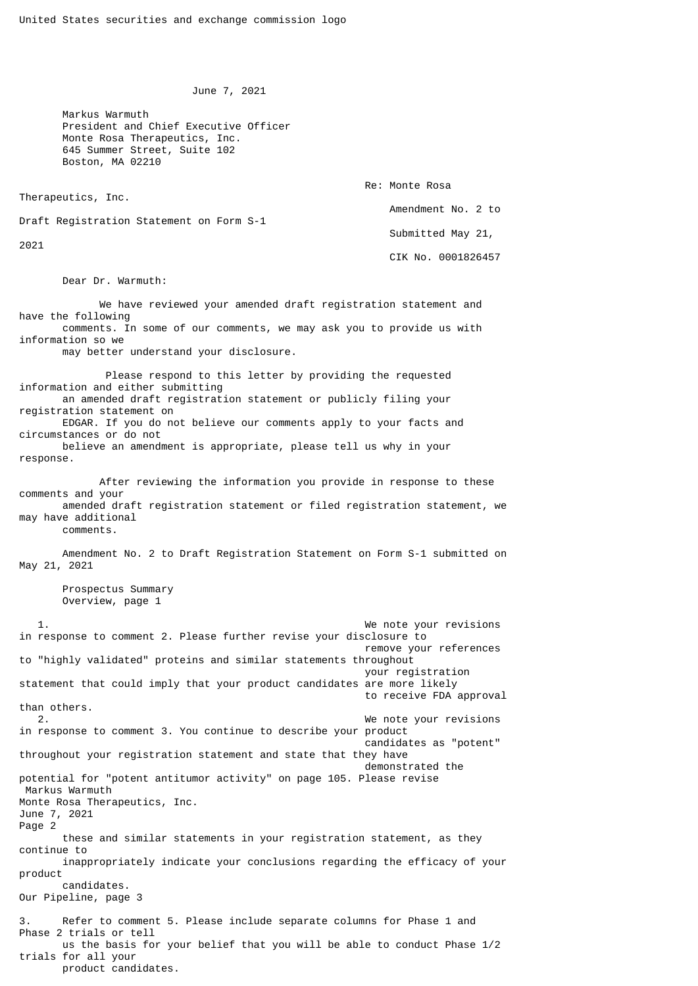June 7, 2021

 Markus Warmuth President and Chief Executive Officer Monte Rosa Therapeutics, Inc. 645 Summer Street, Suite 102 Boston, MA 02210

Therapeutics, Inc.

Re: Monte Rosa

Amendment No. 2 to

Draft Registration Statement on Form S-1

2021

 Submitted May 21, CIK No. 0001826457

Dear Dr. Warmuth:

 We have reviewed your amended draft registration statement and have the following comments. In some of our comments, we may ask you to provide us with information so we may better understand your disclosure. Please respond to this letter by providing the requested information and either submitting an amended draft registration statement or publicly filing your registration statement on EDGAR. If you do not believe our comments apply to your facts and circumstances or do not

 believe an amendment is appropriate, please tell us why in your response.

 After reviewing the information you provide in response to these comments and your amended draft registration statement or filed registration statement, we may have additional comments.

 Amendment No. 2 to Draft Registration Statement on Form S-1 submitted on May 21, 2021

 Prospectus Summary Overview, page 1

We note your revisions in response to comment 2. Please further revise your disclosure to remove your references to "highly validated" proteins and similar statements throughout your registration statement that could imply that your product candidates are more likely to receive FDA approval than others. 2. We note your revisions in response to comment 3. You continue to describe your product candidates as "potent" throughout your registration statement and state that they have demonstrated the potential for "potent antitumor activity" on page 105. Please revise Markus Warmuth Monte Rosa Therapeutics, Inc. June 7, 2021 Page 2 these and similar statements in your registration statement, as they continue to inappropriately indicate your conclusions regarding the efficacy of your product candidates. Our Pipeline, page 3 3. Refer to comment 5. Please include separate columns for Phase 1 and Phase 2 trials or tell us the basis for your belief that you will be able to conduct Phase 1/2 trials for all your product candidates.